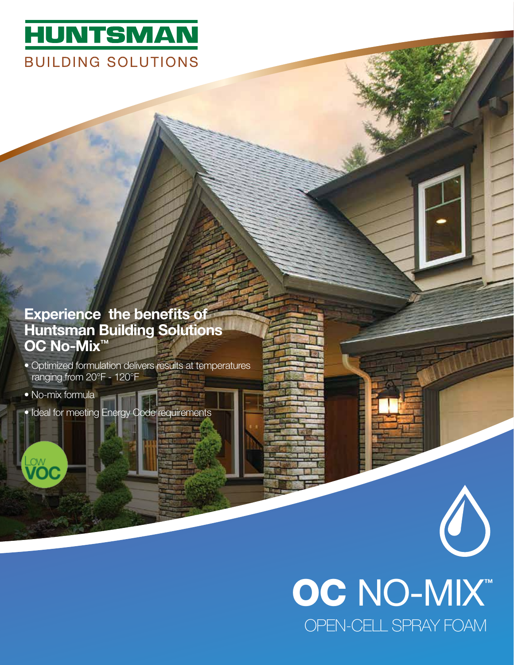## **HUNTSMAN BUILDING SOLUTIONS**

## Experience the benefits of Huntsman Building Solutions OC No-Mix<sup>™</sup>

- Optimized formulation delivers results at temperatures ranging from 20°F - 120°F
- No-mix formula
- Ideal for meeting Energy Code requirements

## OC NO-MIX<sup>™</sup> OPEN-CELL SPRAY FOAM

 $\begin{pmatrix} 1 \\ 2 \end{pmatrix}$